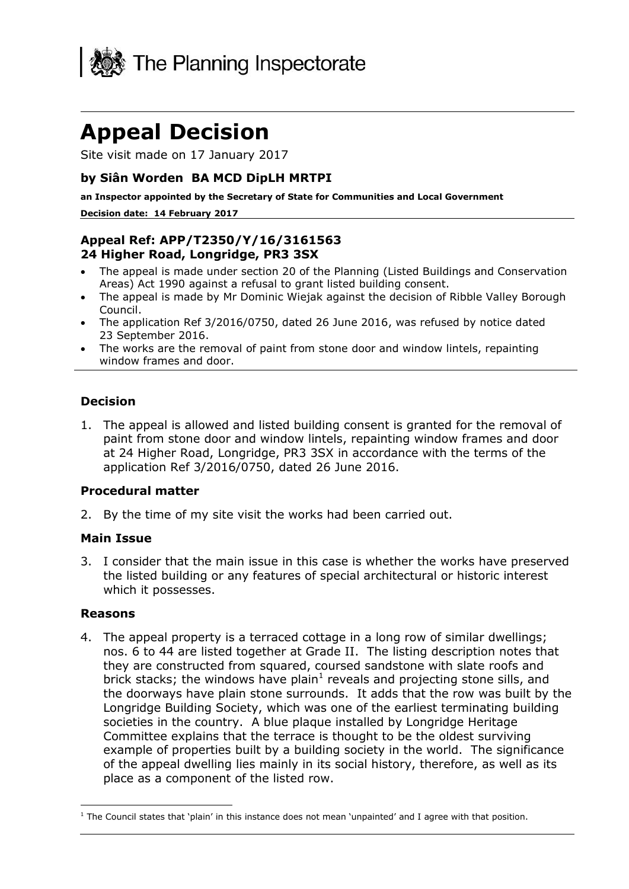

# **Appeal Decision**

Site visit made on 17 January 2017

# **by Siân Worden BA MCD DipLH MRTPI**

**an Inspector appointed by the Secretary of State for Communities and Local Government**

#### **Decision date: 14 February 2017**

# **Appeal Ref: APP/T2350/Y/16/3161563 24 Higher Road, Longridge, PR3 3SX**

- The appeal is made under section 20 of the Planning (Listed Buildings and Conservation Areas) Act 1990 against a refusal to grant listed building consent.
- The appeal is made by Mr Dominic Wiejak against the decision of Ribble Valley Borough Council.
- The application Ref 3/2016/0750, dated 26 June 2016, was refused by notice dated 23 September 2016.
- The works are the removal of paint from stone door and window lintels, repainting window frames and door.

### **Decision**

1. The appeal is allowed and listed building consent is granted for the removal of paint from stone door and window lintels, repainting window frames and door at 24 Higher Road, Longridge, PR3 3SX in accordance with the terms of the application Ref 3/2016/0750, dated 26 June 2016.

### **Procedural matter**

2. By the time of my site visit the works had been carried out.

## **Main Issue**

3. I consider that the main issue in this case is whether the works have preserved the listed building or any features of special architectural or historic interest which it possesses.

### **Reasons**

4. The appeal property is a terraced cottage in a long row of similar dwellings; nos. 6 to 44 are listed together at Grade II. The listing description notes that they are constructed from squared, coursed sandstone with slate roofs and brick stacks; the windows have plain<sup>1</sup> reveals and projecting stone sills, and the doorways have plain stone surrounds. It adds that the row was built by the Longridge Building Society, which was one of the earliest terminating building societies in the country. A blue plaque installed by Longridge Heritage Committee explains that the terrace is thought to be the oldest surviving example of properties built by a building society in the world. The significance of the appeal dwelling lies mainly in its social history, therefore, as well as its place as a component of the listed row.

j  $<sup>1</sup>$  The Council states that 'plain' in this instance does not mean 'unpainted' and I agree with that position.</sup>